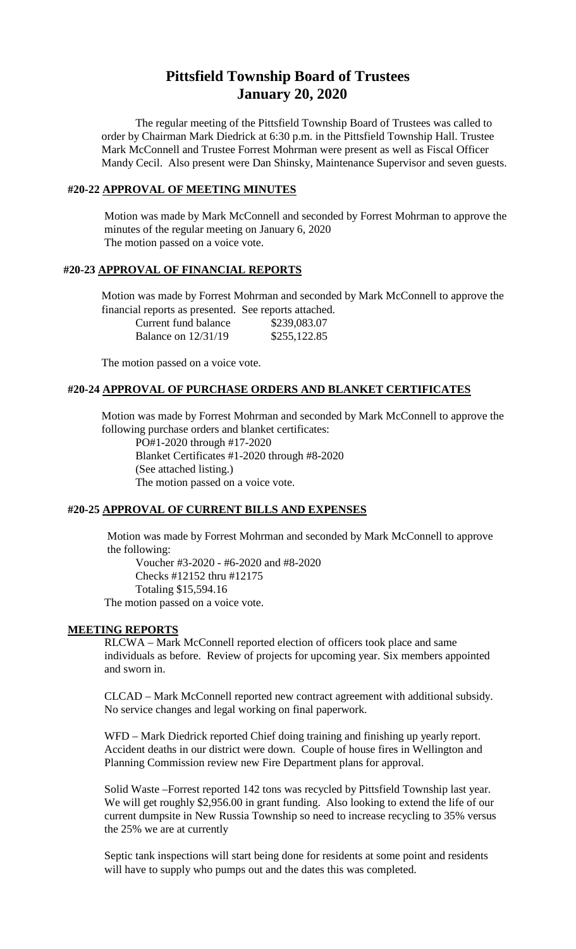# **Pittsfield Township Board of Trustees January 20, 2020**

The regular meeting of the Pittsfield Township Board of Trustees was called to order by Chairman Mark Diedrick at 6:30 p.m. in the Pittsfield Township Hall. Trustee Mark McConnell and Trustee Forrest Mohrman were present as well as Fiscal Officer Mandy Cecil. Also present were Dan Shinsky, Maintenance Supervisor and seven guests.

## **#20-22 APPROVAL OF MEETING MINUTES**

Motion was made by Mark McConnell and seconded by Forrest Mohrman to approve the minutes of the regular meeting on January 6, 2020 The motion passed on a voice vote.

#### **#20-23 APPROVAL OF FINANCIAL REPORTS**

Motion was made by Forrest Mohrman and seconded by Mark McConnell to approve the financial reports as presented. See reports attached.

| Current fund balance  | \$239,083.07 |
|-----------------------|--------------|
| Balance on $12/31/19$ | \$255,122.85 |

The motion passed on a voice vote.

#### **#20-24 APPROVAL OF PURCHASE ORDERS AND BLANKET CERTIFICATES**

Motion was made by Forrest Mohrman and seconded by Mark McConnell to approve the following purchase orders and blanket certificates:

PO#1-2020 through #17-2020 Blanket Certificates #1-2020 through #8-2020 (See attached listing.) The motion passed on a voice vote.

#### **#20-25 APPROVAL OF CURRENT BILLS AND EXPENSES**

Motion was made by Forrest Mohrman and seconded by Mark McConnell to approve the following:

Voucher #3-2020 - #6-2020 and #8-2020 Checks #12152 thru #12175 Totaling \$15,594.16 The motion passed on a voice vote.

#### **MEETING REPORTS**

RLCWA – Mark McConnell reported election of officers took place and same individuals as before. Review of projects for upcoming year. Six members appointed and sworn in.

CLCAD – Mark McConnell reported new contract agreement with additional subsidy. No service changes and legal working on final paperwork.

WFD – Mark Diedrick reported Chief doing training and finishing up yearly report. Accident deaths in our district were down. Couple of house fires in Wellington and Planning Commission review new Fire Department plans for approval.

Solid Waste –Forrest reported 142 tons was recycled by Pittsfield Township last year. We will get roughly \$2,956.00 in grant funding. Also looking to extend the life of our current dumpsite in New Russia Township so need to increase recycling to 35% versus the 25% we are at currently

Septic tank inspections will start being done for residents at some point and residents will have to supply who pumps out and the dates this was completed.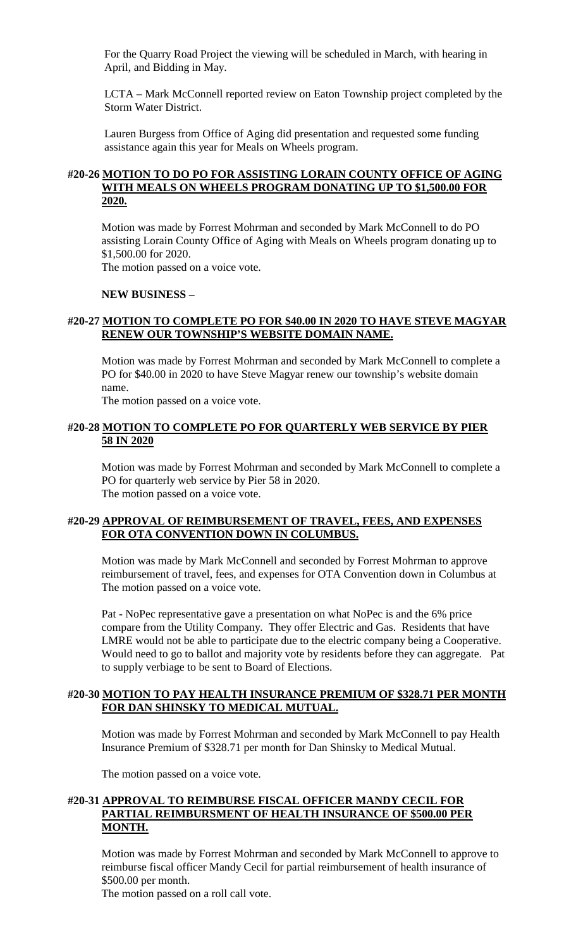For the Quarry Road Project the viewing will be scheduled in March, with hearing in April, and Bidding in May.

LCTA – Mark McConnell reported review on Eaton Township project completed by the Storm Water District.

Lauren Burgess from Office of Aging did presentation and requested some funding assistance again this year for Meals on Wheels program.

# **#20-26 MOTION TO DO PO FOR ASSISTING LORAIN COUNTY OFFICE OF AGING WITH MEALS ON WHEELS PROGRAM DONATING UP TO \$1,500.00 FOR 2020.**

Motion was made by Forrest Mohrman and seconded by Mark McConnell to do PO assisting Lorain County Office of Aging with Meals on Wheels program donating up to \$1,500.00 for 2020.

The motion passed on a voice vote.

#### **NEW BUSINESS –**

# **#20-27 MOTION TO COMPLETE PO FOR \$40.00 IN 2020 TO HAVE STEVE MAGYAR RENEW OUR TOWNSHIP'S WEBSITE DOMAIN NAME.**

Motion was made by Forrest Mohrman and seconded by Mark McConnell to complete a PO for \$40.00 in 2020 to have Steve Magyar renew our township's website domain name.

The motion passed on a voice vote.

# **#20-28 MOTION TO COMPLETE PO FOR QUARTERLY WEB SERVICE BY PIER 58 IN 2020**

Motion was made by Forrest Mohrman and seconded by Mark McConnell to complete a PO for quarterly web service by Pier 58 in 2020. The motion passed on a voice vote.

# **#20-29 APPROVAL OF REIMBURSEMENT OF TRAVEL, FEES, AND EXPENSES FOR OTA CONVENTION DOWN IN COLUMBUS.**

Motion was made by Mark McConnell and seconded by Forrest Mohrman to approve reimbursement of travel, fees, and expenses for OTA Convention down in Columbus at The motion passed on a voice vote.

Pat - NoPec representative gave a presentation on what NoPec is and the 6% price compare from the Utility Company. They offer Electric and Gas. Residents that have LMRE would not be able to participate due to the electric company being a Cooperative. Would need to go to ballot and majority vote by residents before they can aggregate. Pat to supply verbiage to be sent to Board of Elections.

# **#20-30 MOTION TO PAY HEALTH INSURANCE PREMIUM OF \$328.71 PER MONTH FOR DAN SHINSKY TO MEDICAL MUTUAL.**

Motion was made by Forrest Mohrman and seconded by Mark McConnell to pay Health Insurance Premium of \$328.71 per month for Dan Shinsky to Medical Mutual.

The motion passed on a voice vote.

## **#20-31 APPROVAL TO REIMBURSE FISCAL OFFICER MANDY CECIL FOR PARTIAL REIMBURSMENT OF HEALTH INSURANCE OF \$500.00 PER MONTH.**

Motion was made by Forrest Mohrman and seconded by Mark McConnell to approve to reimburse fiscal officer Mandy Cecil for partial reimbursement of health insurance of \$500.00 per month.

The motion passed on a roll call vote.